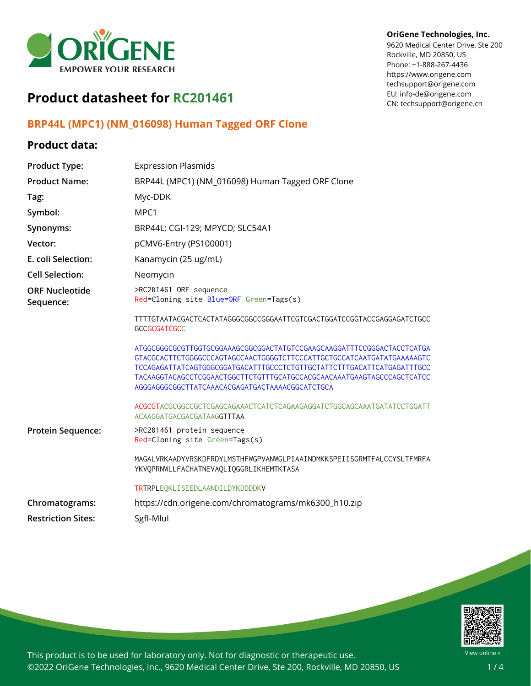

# **Product datasheet for RC201461**

## **BRP44L (MPC1) (NM\_016098) Human Tagged ORF Clone**

### **Product data:**

#### Rockville, MD 20850, US Phone: +1-888-267-4436 https://www.origene.com

techsupport@origene.com EU: info-de@origene.com CN: techsupport@origene.cn

**OriGene Technologies, Inc.** 9620 Medical Center Drive, Ste 200

| <b>Product Type:</b>               | <b>Expression Plasmids</b>                                                                                                                                                                                                                                                                                                                             |  |
|------------------------------------|--------------------------------------------------------------------------------------------------------------------------------------------------------------------------------------------------------------------------------------------------------------------------------------------------------------------------------------------------------|--|
| <b>Product Name:</b>               | BRP44L (MPC1) (NM_016098) Human Tagged ORF Clone                                                                                                                                                                                                                                                                                                       |  |
| Tag:                               | Myc-DDK                                                                                                                                                                                                                                                                                                                                                |  |
| Symbol:                            | MPC1                                                                                                                                                                                                                                                                                                                                                   |  |
| Synonyms:                          | BRP44L; CGI-129; MPYCD; SLC54A1                                                                                                                                                                                                                                                                                                                        |  |
| Vector:                            | pCMV6-Entry (PS100001)                                                                                                                                                                                                                                                                                                                                 |  |
| E. coli Selection:                 | Kanamycin (25 ug/mL)                                                                                                                                                                                                                                                                                                                                   |  |
| <b>Cell Selection:</b>             | Neomycin                                                                                                                                                                                                                                                                                                                                               |  |
| <b>ORF Nucleotide</b><br>Sequence: | >RC201461 ORF sequence<br>Red=Cloning site Blue=ORF Green=Tags(s)                                                                                                                                                                                                                                                                                      |  |
|                                    | TTTTGTAATACGACTCACTATAGGGCGGCCGGGAATTCGTCGACTGGATCCGGTACCGAGGAGATCTGCC<br><b>GCCGCGATCGCC</b>                                                                                                                                                                                                                                                          |  |
|                                    | ATGGCGGCGCGTTGGTGCGGAAAGCGGCGGACTATGTCCGAAGCAAGGATTTCCGGGACTACCTCATGA<br>GTACGCACTTCTGGGGCCCAGTAGCCAACTGGGGTCTTCCCATTGCTGCCATCAATGATATGAAAAAGTC<br>TCCAGAGATTATCAGTGGGCGGATGACATTTGCCCTCTGTTGCTATTCTTTGACATTCATGAGATTTGCC<br>TACAAGGTACAGCCTCGGAACTGGCTTCTGTTTGCATGCCACGCAACAAATGAAGTAGCCCAGCTCATCC<br>AGGGAGGGCGGCTTATCAAACACGAGATGACTAAAACGGCATCTGCA |  |
|                                    | ACGCGTACGCGGCCGCTCGAGCAGAAACTCATCTCAGAAGAGGATCTGGCAGCAAATGATATCCTGGATT<br>ACAAGGATGACGACGATAAGGTTTAA                                                                                                                                                                                                                                                   |  |
| Protein Sequence:                  | >RC201461 protein sequence<br>Red=Cloning site Green=Tags(s)                                                                                                                                                                                                                                                                                           |  |
|                                    | MAGALVRKAADYVRSKDFRDYLMSTHFWGPVANWGLPIAAINDMKKSPEIISGRMTFALCCYSLTFMRFA<br>YKVQPRNWLLFACHATNEVAQLIQGGRLIKHEMTKTASA                                                                                                                                                                                                                                      |  |
|                                    | TRTRPLEQKLISEEDLAANDILDYKDDDDKV                                                                                                                                                                                                                                                                                                                        |  |
| Chromatograms:                     | https://cdn.origene.com/chromatograms/mk6300 h10.zip                                                                                                                                                                                                                                                                                                   |  |
| <b>Restriction Sites:</b>          | SgfI-Mlul                                                                                                                                                                                                                                                                                                                                              |  |



This product is to be used for laboratory only. Not for diagnostic or therapeutic use. ©2022 OriGene Technologies, Inc., 9620 Medical Center Drive, Ste 200, Rockville, MD 20850, US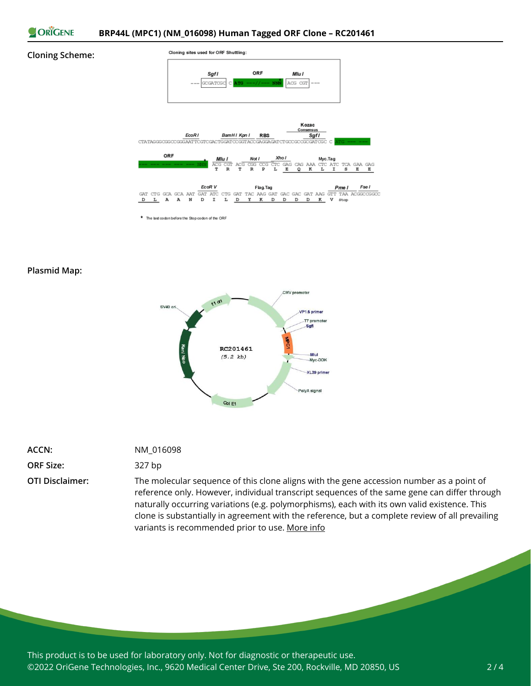

#### **Cloning Scheme:**



**Plasmid Map:**



| ACCN: | NM 016098 |
|-------|-----------|
|       |           |

### **ORF Size:** 327 bp

**OTI Disclaimer:** The molecular sequence of this clone aligns with the gene accession number as a point of reference only. However, individual transcript sequences of the same gene can differ through naturally occurring variations (e.g. polymorphisms), each with its own valid existence. This clone is substantially in agreement with the reference, but a complete review of all prevailing variants is recommended prior to use. [More](https://www.ncbi.nlm.nih.gov/books/NBK174586/) info

This product is to be used for laboratory only. Not for diagnostic or therapeutic use. ©2022 OriGene Technologies, Inc., 9620 Medical Center Drive, Ste 200, Rockville, MD 20850, US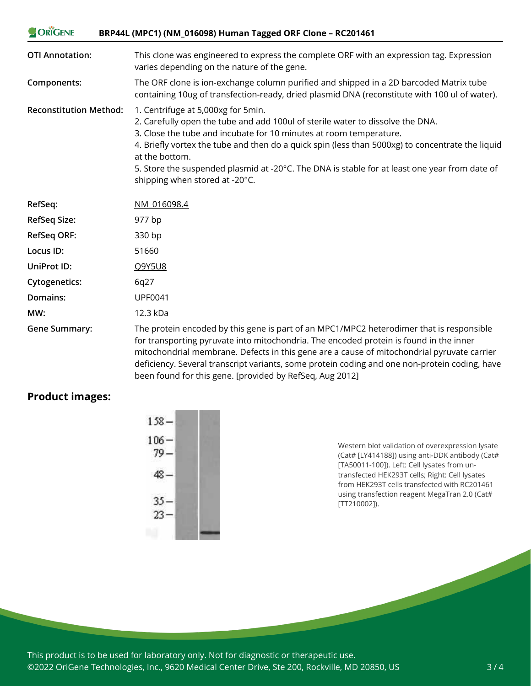| ORIGENE<br>BRP44L (MPC1) (NM_016098) Human Tagged ORF Clone - RC201461 |                                                                                                                                                                                                                                                                                                                                                                                                                                                     |  |
|------------------------------------------------------------------------|-----------------------------------------------------------------------------------------------------------------------------------------------------------------------------------------------------------------------------------------------------------------------------------------------------------------------------------------------------------------------------------------------------------------------------------------------------|--|
| <b>OTI Annotation:</b>                                                 | This clone was engineered to express the complete ORF with an expression tag. Expression<br>varies depending on the nature of the gene.                                                                                                                                                                                                                                                                                                             |  |
| Components:                                                            | The ORF clone is ion-exchange column purified and shipped in a 2D barcoded Matrix tube<br>containing 10ug of transfection-ready, dried plasmid DNA (reconstitute with 100 ul of water).                                                                                                                                                                                                                                                             |  |
| <b>Reconstitution Method:</b>                                          | 1. Centrifuge at 5,000xg for 5min.<br>2. Carefully open the tube and add 100ul of sterile water to dissolve the DNA.<br>3. Close the tube and incubate for 10 minutes at room temperature.<br>4. Briefly vortex the tube and then do a quick spin (less than 5000xg) to concentrate the liquid<br>at the bottom.<br>5. Store the suspended plasmid at -20°C. The DNA is stable for at least one year from date of<br>shipping when stored at -20°C. |  |
| RefSeq:                                                                | NM 016098.4                                                                                                                                                                                                                                                                                                                                                                                                                                         |  |
| <b>RefSeq Size:</b>                                                    | 977 bp                                                                                                                                                                                                                                                                                                                                                                                                                                              |  |
| <b>RefSeq ORF:</b>                                                     | 330 bp                                                                                                                                                                                                                                                                                                                                                                                                                                              |  |
| Locus ID:                                                              | 51660                                                                                                                                                                                                                                                                                                                                                                                                                                               |  |
| UniProt ID:                                                            | Q9Y5U8                                                                                                                                                                                                                                                                                                                                                                                                                                              |  |
| <b>Cytogenetics:</b>                                                   | 6q27                                                                                                                                                                                                                                                                                                                                                                                                                                                |  |
| Domains:                                                               | <b>UPF0041</b>                                                                                                                                                                                                                                                                                                                                                                                                                                      |  |
| MW:                                                                    | 12.3 kDa                                                                                                                                                                                                                                                                                                                                                                                                                                            |  |
| <b>Gene Summary:</b>                                                   | The protein encoded by this gene is part of an MPC1/MPC2 heterodimer that is responsible<br>for transporting pyruvate into mitochondria. The encoded protein is found in the inner<br>mitochondrial membrane. Defects in this gene are a cause of mitochondrial pyruvate carrier                                                                                                                                                                    |  |

mitochondrial membrane. Defects in this gene are a cause of mitochondrial pyruvate carrier deficiency. Several transcript variants, some protein coding and one non-protein coding, have been found for this gene. [provided by RefSeq, Aug 2012]

## **Product images:**

| $158 -$           |  |
|-------------------|--|
| $106 -$<br>$79 -$ |  |
| $48 -$            |  |
| $35 -$<br>$23 -$  |  |
|                   |  |

Western blot validation of overexpression lysate (Cat# [LY414188]) using anti-DDK antibody (Cat# [TA50011-100]). Left: Cell lysates from untransfected HEK293T cells; Right: Cell lysates from HEK293T cells transfected with RC201461 using transfection reagent MegaTran 2.0 (Cat# [TT210002]).

This product is to be used for laboratory only. Not for diagnostic or therapeutic use. ©2022 OriGene Technologies, Inc., 9620 Medical Center Drive, Ste 200, Rockville, MD 20850, US